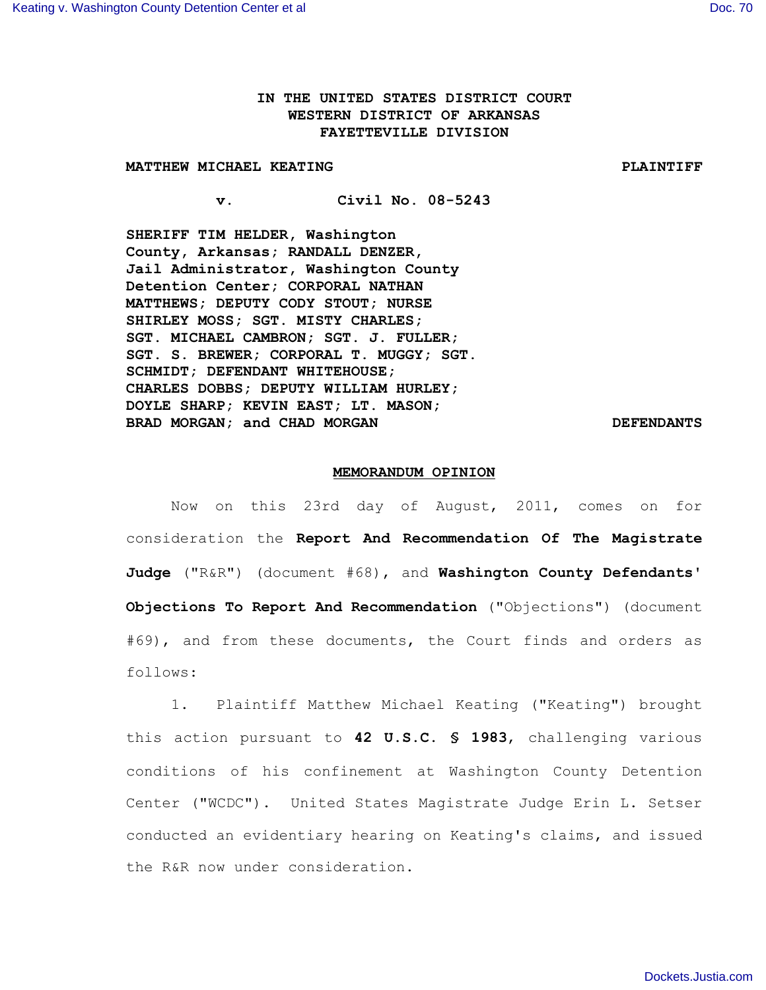## **IN THE UNITED STATES DISTRICT COURT WESTERN DISTRICT OF ARKANSAS FAYETTEVILLE DIVISION**

## **MATTHEW MICHAEL KEATING PLAINTIFF**

**v. Civil No. 08-5243**

**SHERIFF TIM HELDER, Washington County, Arkansas; RANDALL DENZER, Jail Administrator, Washington County Detention Center; CORPORAL NATHAN MATTHEWS; DEPUTY CODY STOUT; NURSE SHIRLEY MOSS; SGT. MISTY CHARLES; SGT. MICHAEL CAMBRON; SGT. J. FULLER; SGT. S. BREWER; CORPORAL T. MUGGY; SGT. SCHMIDT; DEFENDANT WHITEHOUSE; CHARLES DOBBS; DEPUTY WILLIAM HURLEY; DOYLE SHARP; KEVIN EAST; LT. MASON; BRAD MORGAN; and CHAD MORGAN DEFENDANTS** 

## **MEMORANDUM OPINION**

Now on this 23rd day of August, 2011, comes on for consideration the **Report And Recommendation Of The Magistrate Judge** ("R&R") (document #68), and **Washington County Defendants' Objections To Report And Recommendation** ("Objections") (document #69), and from these documents, the Court finds and orders as follows:

1. Plaintiff Matthew Michael Keating ("Keating") brought this action pursuant to **42 U.S.C. § 1983**, challenging various conditions of his confinement at Washington County Detention Center ("WCDC"). United States Magistrate Judge Erin L. Setser conducted an evidentiary hearing on Keating's claims, and issued the R&R now under consideration.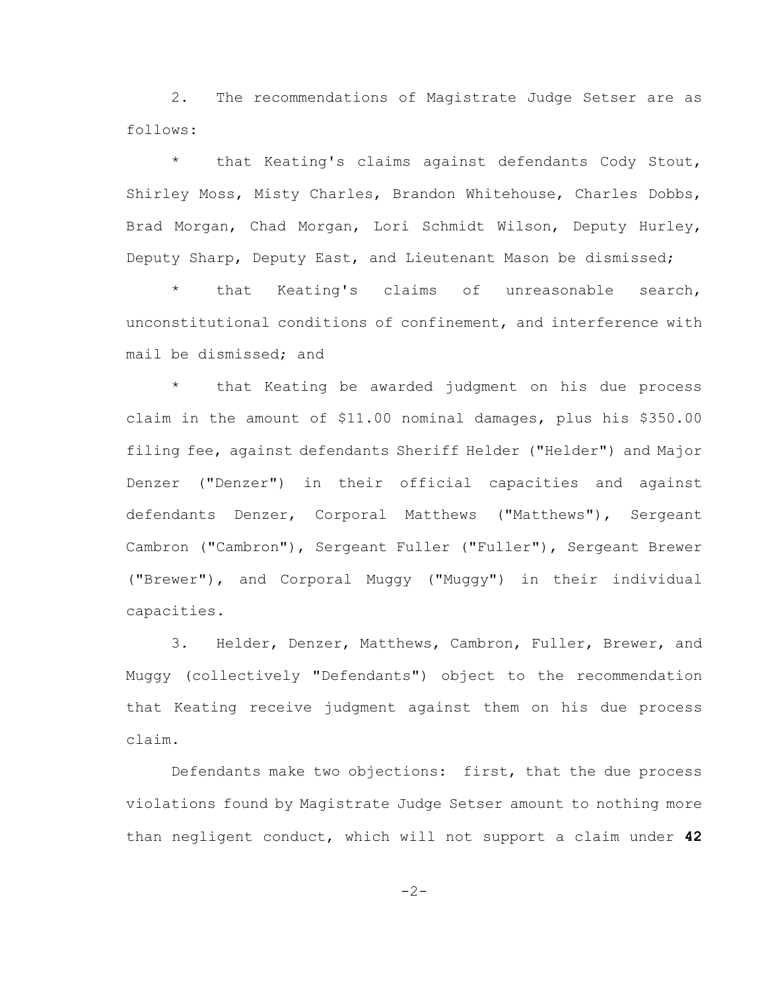2. The recommendations of Magistrate Judge Setser are as follows:

\* that Keating's claims against defendants Cody Stout, Shirley Moss, Misty Charles, Brandon Whitehouse, Charles Dobbs, Brad Morgan, Chad Morgan, Lori Schmidt Wilson, Deputy Hurley, Deputy Sharp, Deputy East, and Lieutenant Mason be dismissed;

\* that Keating's claims of unreasonable search, unconstitutional conditions of confinement, and interference with mail be dismissed; and

that Keating be awarded judgment on his due process claim in the amount of \$11.00 nominal damages, plus his \$350.00 filing fee, against defendants Sheriff Helder ("Helder") and Major Denzer ("Denzer") in their official capacities and against defendants Denzer, Corporal Matthews ("Matthews"), Sergeant Cambron ("Cambron"), Sergeant Fuller ("Fuller"), Sergeant Brewer ("Brewer"), and Corporal Muggy ("Muggy") in their individual capacities.

3. Helder, Denzer, Matthews, Cambron, Fuller, Brewer, and Muggy (collectively "Defendants") object to the recommendation that Keating receive judgment against them on his due process claim.

Defendants make two objections: first, that the due process violations found by Magistrate Judge Setser amount to nothing more than negligent conduct, which will not support a claim under **42**

-2-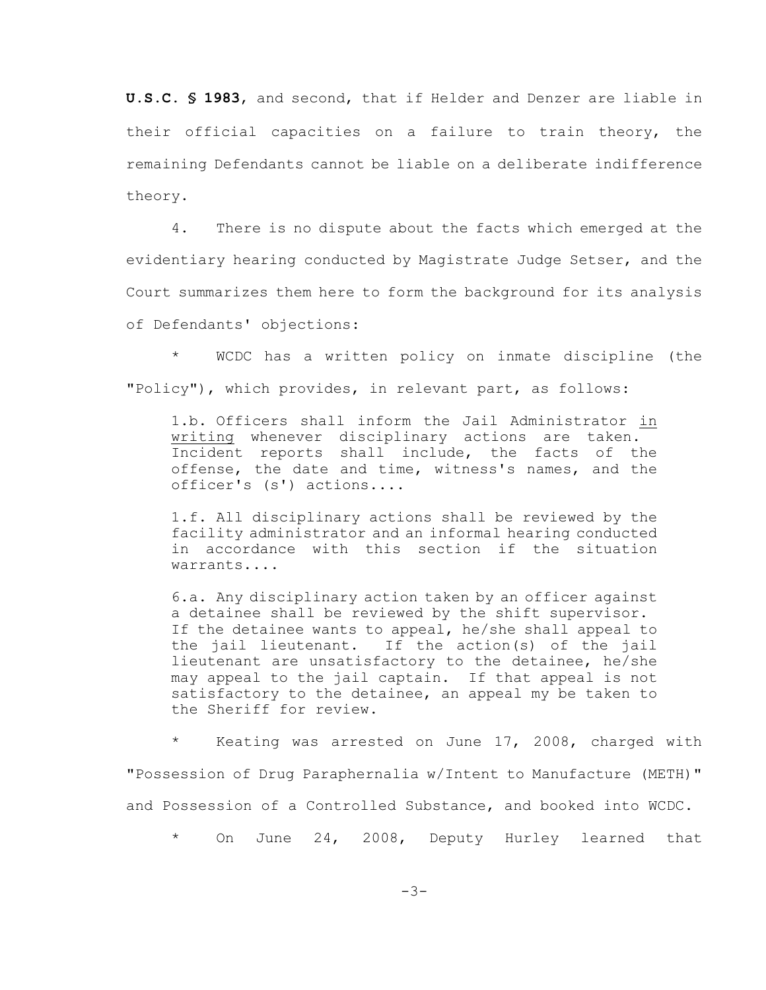**U.S.C. § 1983**, and second, that if Helder and Denzer are liable in their official capacities on a failure to train theory, the remaining Defendants cannot be liable on a deliberate indifference theory.

4. There is no dispute about the facts which emerged at the evidentiary hearing conducted by Magistrate Judge Setser, and the Court summarizes them here to form the background for its analysis of Defendants' objections:

\* WCDC has a written policy on inmate discipline (the "Policy"), which provides, in relevant part, as follows:

1.b. Officers shall inform the Jail Administrator in writing whenever disciplinary actions are taken. Incident reports shall include, the facts of the offense, the date and time, witness's names, and the officer's (s') actions....

1.f. All disciplinary actions shall be reviewed by the facility administrator and an informal hearing conducted in accordance with this section if the situation warrants....

6.a. Any disciplinary action taken by an officer against a detainee shall be reviewed by the shift supervisor. If the detainee wants to appeal, he/she shall appeal to the jail lieutenant. If the action(s) of the jail lieutenant are unsatisfactory to the detainee, he/she may appeal to the jail captain. If that appeal is not satisfactory to the detainee, an appeal my be taken to the Sheriff for review.

\* Keating was arrested on June 17, 2008, charged with "Possession of Drug Paraphernalia w/Intent to Manufacture (METH)" and Possession of a Controlled Substance, and booked into WCDC.

On June 24, 2008, Deputy Hurley learned that

-3-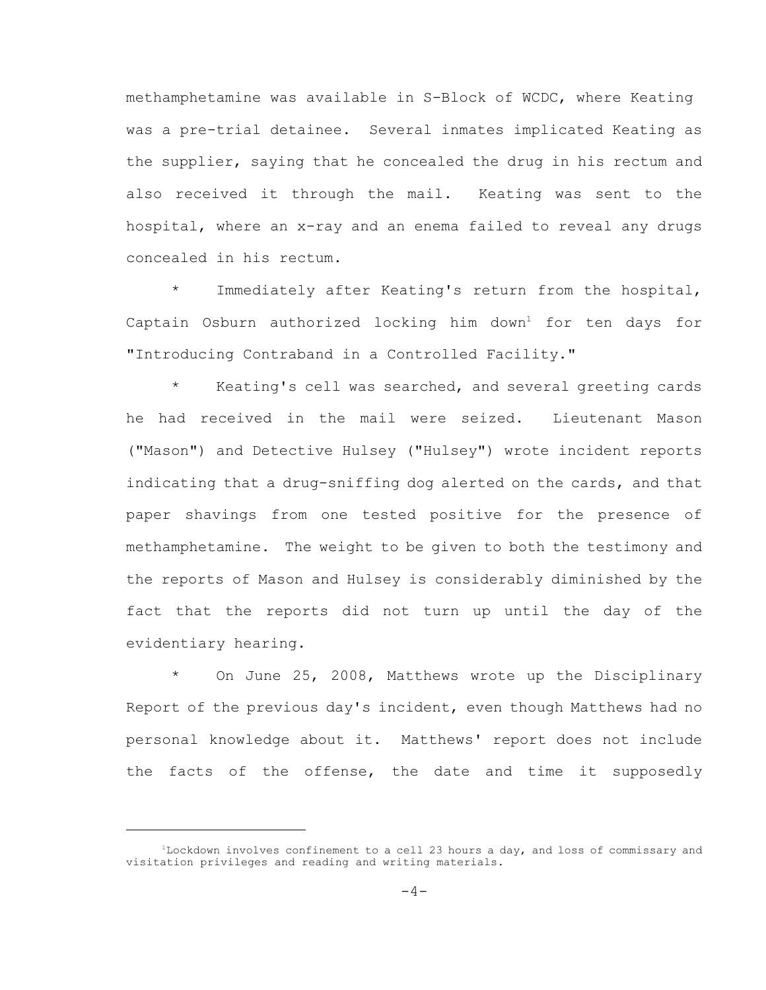methamphetamine was available in S-Block of WCDC, where Keating was a pre-trial detainee. Several inmates implicated Keating as the supplier, saying that he concealed the drug in his rectum and also received it through the mail. Keating was sent to the hospital, where an x-ray and an enema failed to reveal any drugs concealed in his rectum.

\* Immediately after Keating's return from the hospital, Captain Osburn authorized locking him down<sup>1</sup> for ten days for "Introducing Contraband in a Controlled Facility."

\* Keating's cell was searched, and several greeting cards he had received in the mail were seized. Lieutenant Mason ("Mason") and Detective Hulsey ("Hulsey") wrote incident reports indicating that a drug-sniffing dog alerted on the cards, and that paper shavings from one tested positive for the presence of methamphetamine. The weight to be given to both the testimony and the reports of Mason and Hulsey is considerably diminished by the fact that the reports did not turn up until the day of the evidentiary hearing.

\* On June 25, 2008, Matthews wrote up the Disciplinary Report of the previous day's incident, even though Matthews had no personal knowledge about it. Matthews' report does not include the facts of the offense, the date and time it supposedly

<sup>&</sup>lt;sup>1</sup>Lockdown involves confinement to a cell 23 hours a day, and loss of commissary and visitation privileges and reading and writing materials.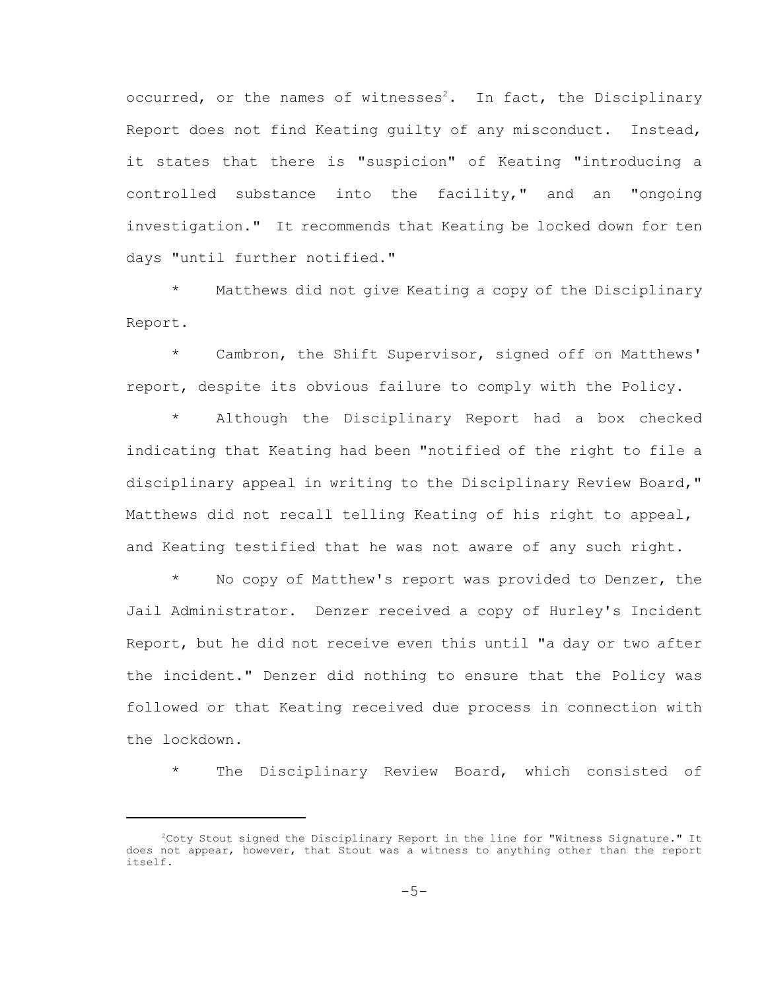occurred, or the names of witnesses<sup>2</sup>. In fact, the Disciplinary Report does not find Keating guilty of any misconduct. Instead, it states that there is "suspicion" of Keating "introducing a controlled substance into the facility," and an "ongoing investigation." It recommends that Keating be locked down for ten days "until further notified."

\* Matthews did not give Keating a copy of the Disciplinary Report.

\* Cambron, the Shift Supervisor, signed off on Matthews' report, despite its obvious failure to comply with the Policy.

Although the Disciplinary Report had a box checked indicating that Keating had been "notified of the right to file a disciplinary appeal in writing to the Disciplinary Review Board," Matthews did not recall telling Keating of his right to appeal, and Keating testified that he was not aware of any such right.

No copy of Matthew's report was provided to Denzer, the Jail Administrator. Denzer received a copy of Hurley's Incident Report, but he did not receive even this until "a day or two after the incident." Denzer did nothing to ensure that the Policy was followed or that Keating received due process in connection with the lockdown.

The Disciplinary Review Board, which consisted of

 $^{2}$ Coty Stout signed the Disciplinary Report in the line for "Witness Signature." It does not appear, however, that Stout was a witness to anything other than the report itself.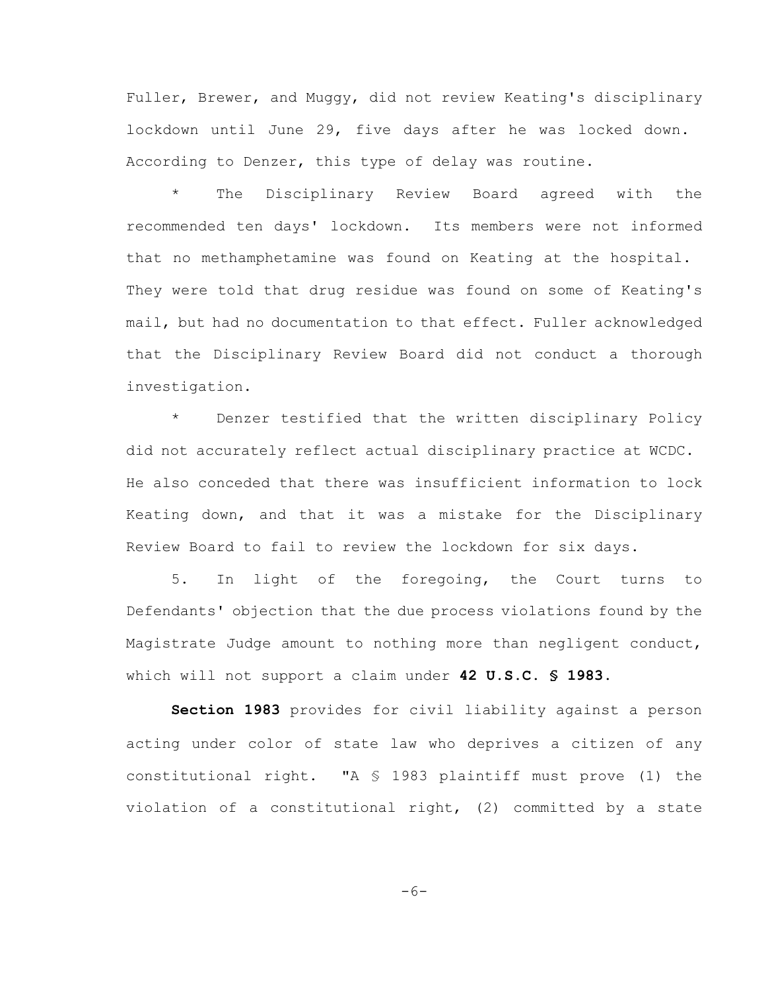Fuller, Brewer, and Muggy, did not review Keating's disciplinary lockdown until June 29, five days after he was locked down. According to Denzer, this type of delay was routine.

\* The Disciplinary Review Board agreed with the recommended ten days' lockdown. Its members were not informed that no methamphetamine was found on Keating at the hospital. They were told that drug residue was found on some of Keating's mail, but had no documentation to that effect. Fuller acknowledged that the Disciplinary Review Board did not conduct a thorough investigation.

Denzer testified that the written disciplinary Policy did not accurately reflect actual disciplinary practice at WCDC. He also conceded that there was insufficient information to lock Keating down, and that it was a mistake for the Disciplinary Review Board to fail to review the lockdown for six days.

5. In light of the foregoing, the Court turns to Defendants' objection that the due process violations found by the Magistrate Judge amount to nothing more than negligent conduct, which will not support a claim under **42 U.S.C. § 1983**.

**Section 1983** provides for civil liability against a person acting under color of state law who deprives a citizen of any constitutional right. "A § 1983 plaintiff must prove (1) the violation of a constitutional right, (2) committed by a state

$$
-6-
$$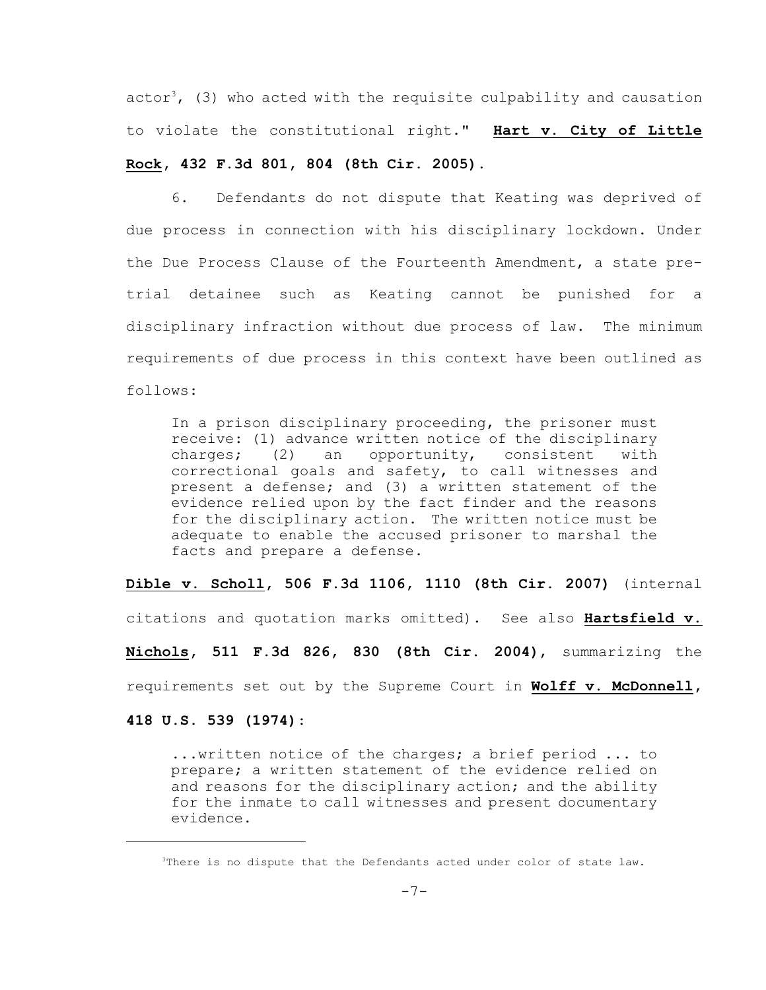actor<sup>3</sup>, (3) who acted with the requisite culpability and causation to violate the constitutional right." **Hart v. City of Little**

## **Rock, 432 F.3d 801, 804 (8th Cir. 2005)**.

6. Defendants do not dispute that Keating was deprived of due process in connection with his disciplinary lockdown. Under the Due Process Clause of the Fourteenth Amendment, a state pretrial detainee such as Keating cannot be punished for a disciplinary infraction without due process of law. The minimum requirements of due process in this context have been outlined as follows:

In a prison disciplinary proceeding, the prisoner must receive: (1) advance written notice of the disciplinary charges; (2) an opportunity, consistent with correctional goals and safety, to call witnesses and present a defense; and (3) a written statement of the evidence relied upon by the fact finder and the reasons for the disciplinary action. The written notice must be adequate to enable the accused prisoner to marshal the facts and prepare a defense.

**Dible v. Scholl, 506 F.3d 1106, 1110 (8th Cir. 2007)** (internal

citations and quotation marks omitted). See also **Hartsfield v.**

**Nichols, 511 F.3d 826, 830 (8th Cir. 2004)**, summarizing the

requirements set out by the Supreme Court in **Wolff v. McDonnell,**

**418 U.S. 539 (1974)**:

...written notice of the charges; a brief period ... to prepare; a written statement of the evidence relied on and reasons for the disciplinary action; and the ability for the inmate to call witnesses and present documentary evidence.

<sup>&</sup>lt;sup>3</sup>There is no dispute that the Defendants acted under color of state law.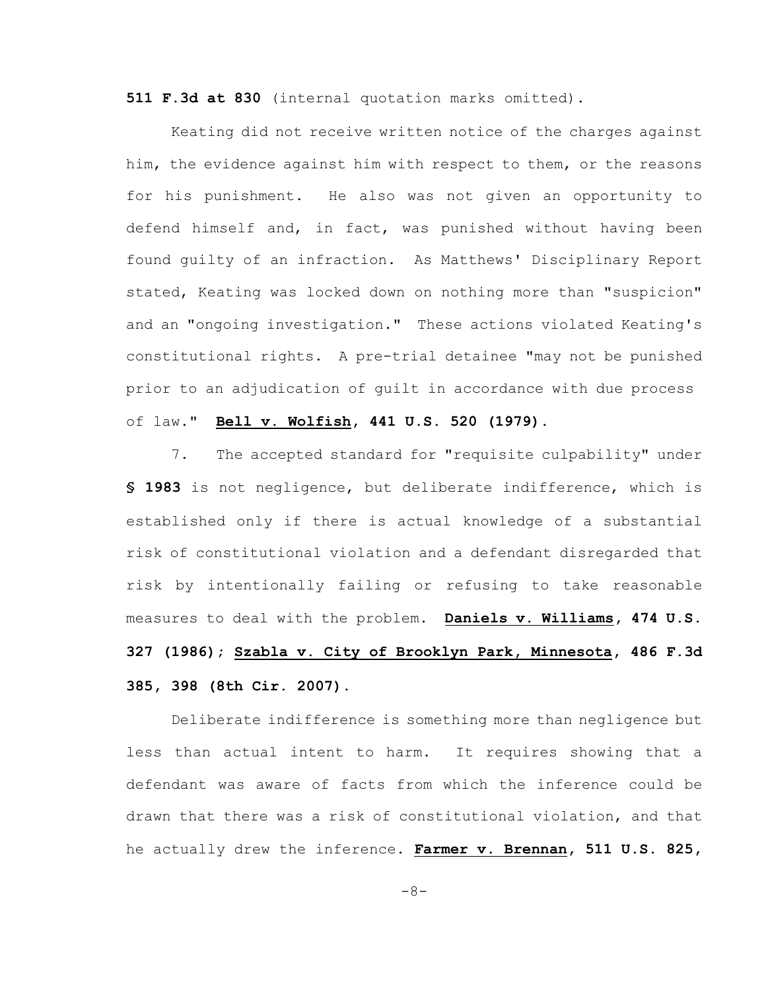**511 F.3d at 830** (internal quotation marks omitted).

Keating did not receive written notice of the charges against him, the evidence against him with respect to them, or the reasons for his punishment. He also was not given an opportunity to defend himself and, in fact, was punished without having been found guilty of an infraction. As Matthews' Disciplinary Report stated, Keating was locked down on nothing more than "suspicion" and an "ongoing investigation." These actions violated Keating's constitutional rights. A pre-trial detainee "may not be punished prior to an adjudication of guilt in accordance with due process of law." **Bell v. Wolfish, 441 U.S. 520 (1979)**.

7. The accepted standard for "requisite culpability" under **§ 1983** is not negligence, but deliberate indifference, which is established only if there is actual knowledge of a substantial risk of constitutional violation and a defendant disregarded that risk by intentionally failing or refusing to take reasonable measures to deal with the problem. **Daniels v. Williams, 474 U.S. 327 (1986); Szabla v. City of Brooklyn Park, Minnesota, 486 F.3d 385, 398 (8th Cir. 2007)**.

Deliberate indifference is something more than negligence but less than actual intent to harm. It requires showing that a defendant was aware of facts from which the inference could be drawn that there was a risk of constitutional violation, and that he actually drew the inference. **Farmer v. Brennan, 511 U.S. 825,**

-8-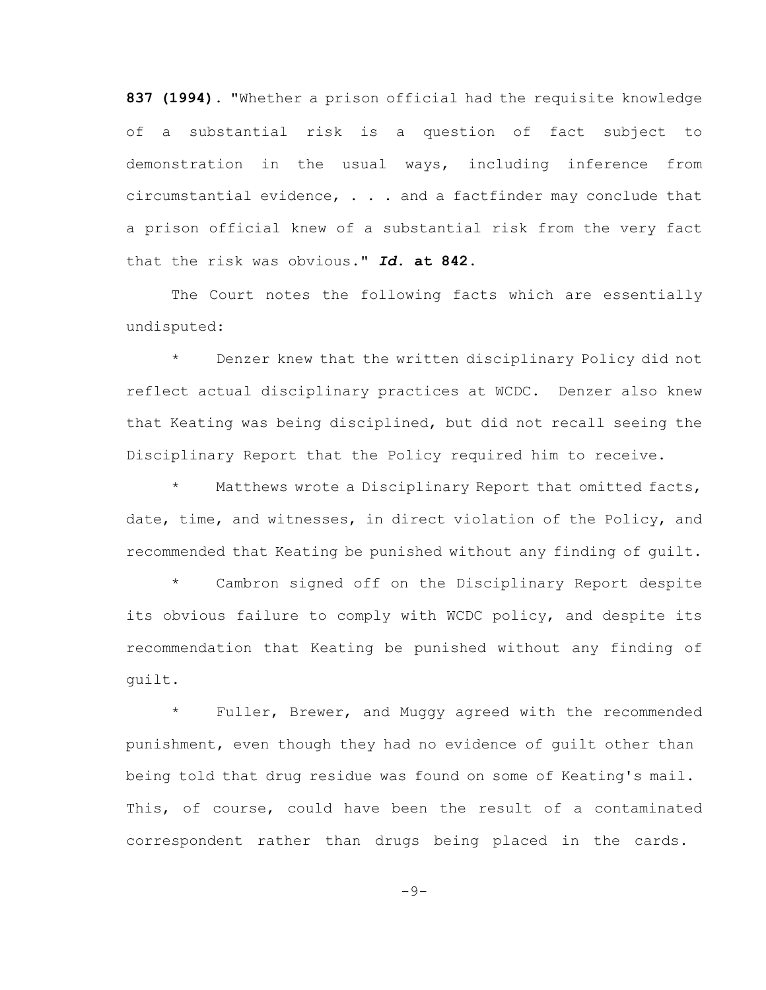**837 (1994)**. "Whether a prison official had the requisite knowledge of a substantial risk is a question of fact subject to demonstration in the usual ways, including inference from circumstantial evidence, . . . and a factfinder may conclude that a prison official knew of a substantial risk from the very fact that the risk was obvious." *Id.* **at 842**.

The Court notes the following facts which are essentially undisputed:

\* Denzer knew that the written disciplinary Policy did not reflect actual disciplinary practices at WCDC. Denzer also knew that Keating was being disciplined, but did not recall seeing the Disciplinary Report that the Policy required him to receive.

\* Matthews wrote a Disciplinary Report that omitted facts, date, time, and witnesses, in direct violation of the Policy, and recommended that Keating be punished without any finding of guilt.

Cambron signed off on the Disciplinary Report despite its obvious failure to comply with WCDC policy, and despite its recommendation that Keating be punished without any finding of guilt.

\* Fuller, Brewer, and Muggy agreed with the recommended punishment, even though they had no evidence of guilt other than being told that drug residue was found on some of Keating's mail. This, of course, could have been the result of a contaminated correspondent rather than drugs being placed in the cards.

 $-9-$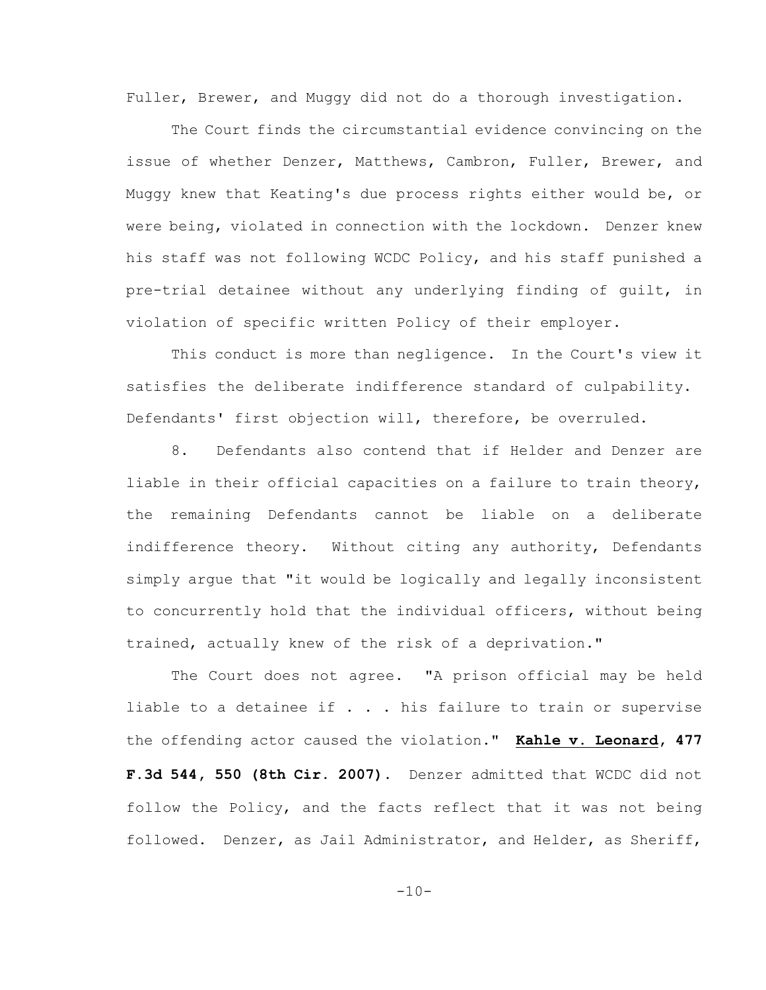Fuller, Brewer, and Muggy did not do a thorough investigation.

The Court finds the circumstantial evidence convincing on the issue of whether Denzer, Matthews, Cambron, Fuller, Brewer, and Muggy knew that Keating's due process rights either would be, or were being, violated in connection with the lockdown. Denzer knew his staff was not following WCDC Policy, and his staff punished a pre-trial detainee without any underlying finding of guilt, in violation of specific written Policy of their employer.

This conduct is more than negligence. In the Court's view it satisfies the deliberate indifference standard of culpability. Defendants' first objection will, therefore, be overruled.

8. Defendants also contend that if Helder and Denzer are liable in their official capacities on a failure to train theory, the remaining Defendants cannot be liable on a deliberate indifference theory. Without citing any authority, Defendants simply argue that "it would be logically and legally inconsistent to concurrently hold that the individual officers, without being trained, actually knew of the risk of a deprivation."

The Court does not agree. "A prison official may be held liable to a detainee if  $\ldots$  . his failure to train or supervise the offending actor caused the violation." **Kahle v. Leonard, 477 F.3d 544, 550 (8th Cir. 2007)**. Denzer admitted that WCDC did not follow the Policy, and the facts reflect that it was not being followed. Denzer, as Jail Administrator, and Helder, as Sheriff,

 $-10-$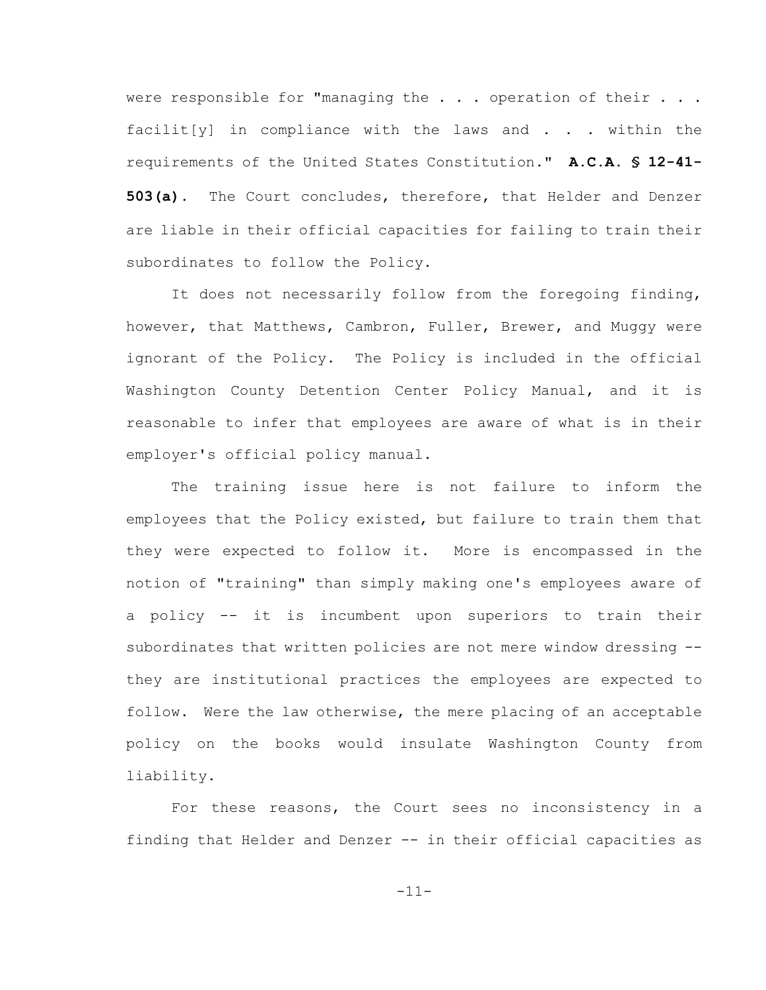were responsible for "managing the . . . operation of their . . . facilit[y] in compliance with the laws and  $\ldots$  within the requirements of the United States Constitution." **A.C.A. § 12-41- 503(a)**. The Court concludes, therefore, that Helder and Denzer are liable in their official capacities for failing to train their subordinates to follow the Policy.

It does not necessarily follow from the foregoing finding, however, that Matthews, Cambron, Fuller, Brewer, and Muggy were ignorant of the Policy. The Policy is included in the official Washington County Detention Center Policy Manual, and it is reasonable to infer that employees are aware of what is in their employer's official policy manual.

The training issue here is not failure to inform the employees that the Policy existed, but failure to train them that they were expected to follow it. More is encompassed in the notion of "training" than simply making one's employees aware of a policy -- it is incumbent upon superiors to train their subordinates that written policies are not mere window dressing - they are institutional practices the employees are expected to follow. Were the law otherwise, the mere placing of an acceptable policy on the books would insulate Washington County from liability.

For these reasons, the Court sees no inconsistency in a finding that Helder and Denzer -- in their official capacities as

-11-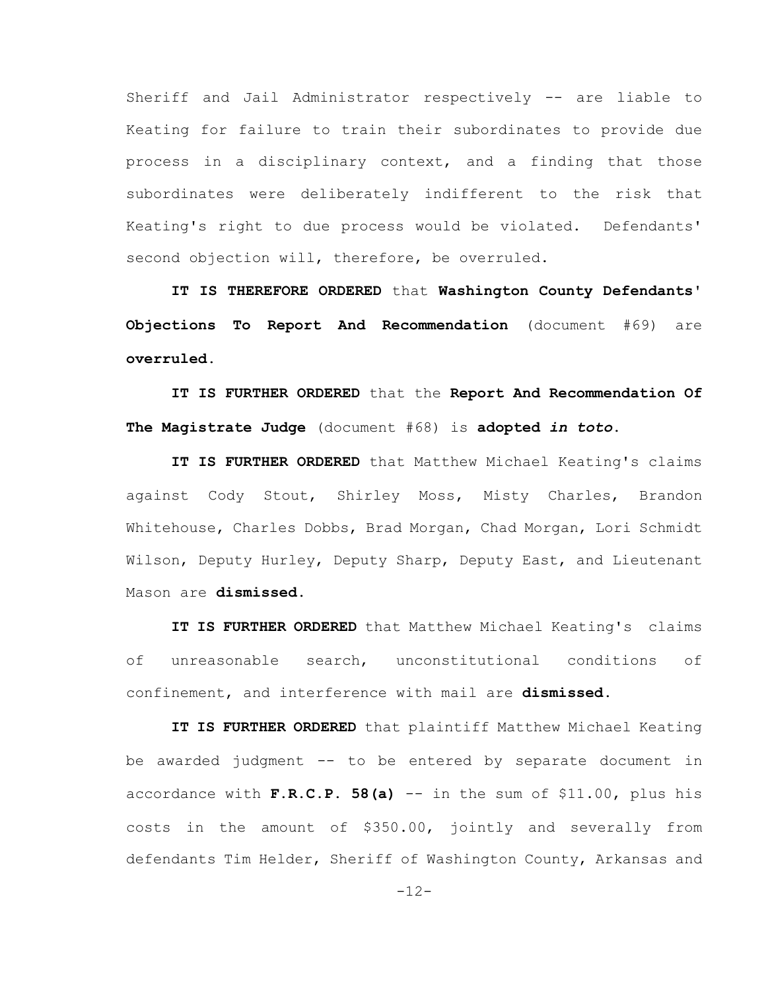Sheriff and Jail Administrator respectively -- are liable to Keating for failure to train their subordinates to provide due process in a disciplinary context, and a finding that those subordinates were deliberately indifferent to the risk that Keating's right to due process would be violated. Defendants' second objection will, therefore, be overruled.

**IT IS THEREFORE ORDERED** that **Washington County Defendants' Objections To Report And Recommendation** (document #69) are **overruled.**

**IT IS FURTHER ORDERED** that the **Report And Recommendation Of The Magistrate Judge** (document #68) is **adopted** *in toto***.**

**IT IS FURTHER ORDERED** that Matthew Michael Keating's claims against Cody Stout, Shirley Moss, Misty Charles, Brandon Whitehouse, Charles Dobbs, Brad Morgan, Chad Morgan, Lori Schmidt Wilson, Deputy Hurley, Deputy Sharp, Deputy East, and Lieutenant Mason are **dismissed.**

**IT IS FURTHER ORDERED** that Matthew Michael Keating's claims of unreasonable search, unconstitutional conditions of confinement, and interference with mail are **dismissed.**

**IT IS FURTHER ORDERED** that plaintiff Matthew Michael Keating be awarded judgment -- to be entered by separate document in accordance with **F.R.C.P. 58(a)** -- in the sum of \$11.00, plus his costs in the amount of \$350.00, jointly and severally from defendants Tim Helder, Sheriff of Washington County, Arkansas and

-12-